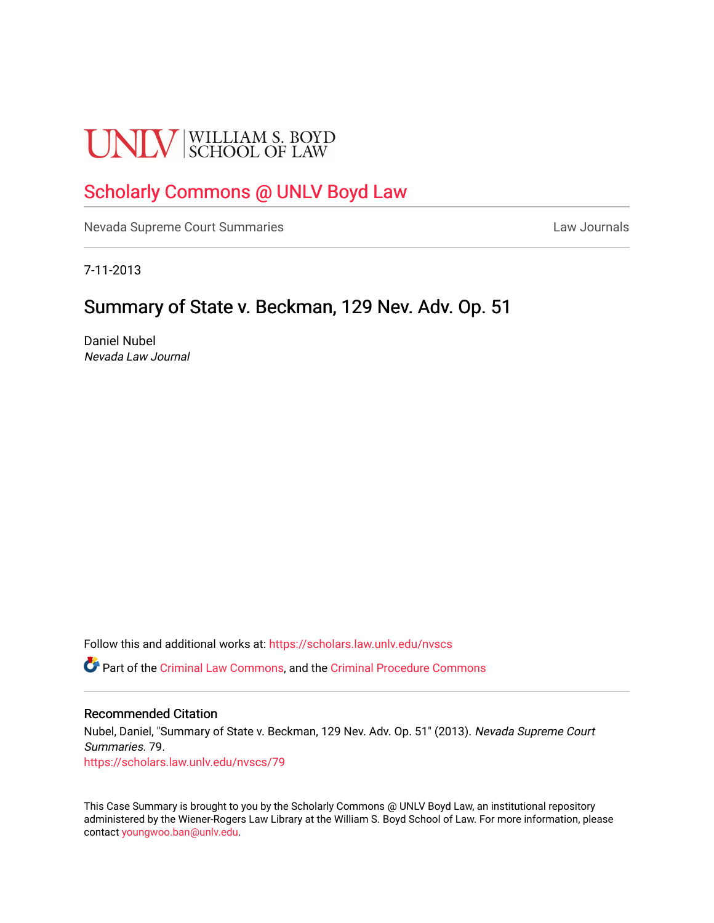# **UNLV** SCHOOL OF LAW

## [Scholarly Commons @ UNLV Boyd Law](https://scholars.law.unlv.edu/)

[Nevada Supreme Court Summaries](https://scholars.law.unlv.edu/nvscs) **Law Journals** Law Journals

7-11-2013

### Summary of State v. Beckman, 129 Nev. Adv. Op. 51

Daniel Nubel Nevada Law Journal

Follow this and additional works at: [https://scholars.law.unlv.edu/nvscs](https://scholars.law.unlv.edu/nvscs?utm_source=scholars.law.unlv.edu%2Fnvscs%2F79&utm_medium=PDF&utm_campaign=PDFCoverPages)

Part of the [Criminal Law Commons,](http://network.bepress.com/hgg/discipline/912?utm_source=scholars.law.unlv.edu%2Fnvscs%2F79&utm_medium=PDF&utm_campaign=PDFCoverPages) and the [Criminal Procedure Commons](http://network.bepress.com/hgg/discipline/1073?utm_source=scholars.law.unlv.edu%2Fnvscs%2F79&utm_medium=PDF&utm_campaign=PDFCoverPages)

#### Recommended Citation

Nubel, Daniel, "Summary of State v. Beckman, 129 Nev. Adv. Op. 51" (2013). Nevada Supreme Court Summaries. 79. [https://scholars.law.unlv.edu/nvscs/79](https://scholars.law.unlv.edu/nvscs/79?utm_source=scholars.law.unlv.edu%2Fnvscs%2F79&utm_medium=PDF&utm_campaign=PDFCoverPages) 

This Case Summary is brought to you by the Scholarly Commons @ UNLV Boyd Law, an institutional repository administered by the Wiener-Rogers Law Library at the William S. Boyd School of Law. For more information, please contact [youngwoo.ban@unlv.edu](mailto:youngwoo.ban@unlv.edu).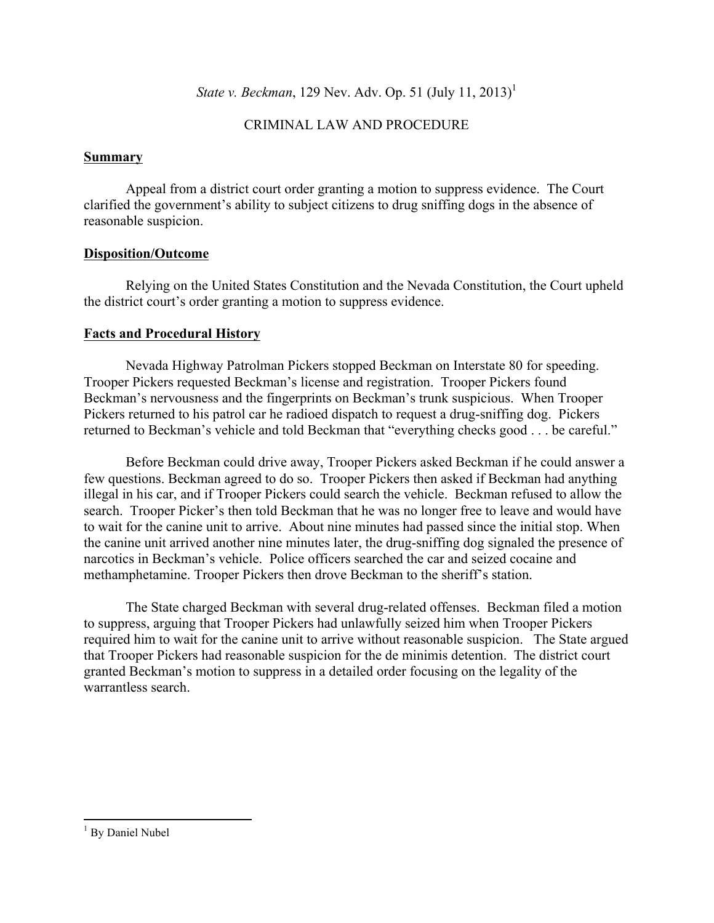*State v. Beckman*, 129 Nev. Adv. Op. 51 (July 11, 2013)<sup>1</sup>

#### CRIMINAL LAW AND PROCEDURE

#### **Summary**

Appeal from a district court order granting a motion to suppress evidence. The Court clarified the government's ability to subject citizens to drug sniffing dogs in the absence of reasonable suspicion.

#### **Disposition/Outcome**

Relying on the United States Constitution and the Nevada Constitution, the Court upheld the district court's order granting a motion to suppress evidence.

#### **Facts and Procedural History**

Nevada Highway Patrolman Pickers stopped Beckman on Interstate 80 for speeding. Trooper Pickers requested Beckman's license and registration. Trooper Pickers found Beckman's nervousness and the fingerprints on Beckman's trunk suspicious. When Trooper Pickers returned to his patrol car he radioed dispatch to request a drug-sniffing dog. Pickers returned to Beckman's vehicle and told Beckman that "everything checks good . . . be careful."

Before Beckman could drive away, Trooper Pickers asked Beckman if he could answer a few questions. Beckman agreed to do so. Trooper Pickers then asked if Beckman had anything illegal in his car, and if Trooper Pickers could search the vehicle. Beckman refused to allow the search. Trooper Picker's then told Beckman that he was no longer free to leave and would have to wait for the canine unit to arrive. About nine minutes had passed since the initial stop. When the canine unit arrived another nine minutes later, the drug-sniffing dog signaled the presence of narcotics in Beckman's vehicle. Police officers searched the car and seized cocaine and methamphetamine. Trooper Pickers then drove Beckman to the sheriff's station.

The State charged Beckman with several drug-related offenses. Beckman filed a motion to suppress, arguing that Trooper Pickers had unlawfully seized him when Trooper Pickers required him to wait for the canine unit to arrive without reasonable suspicion. The State argued that Trooper Pickers had reasonable suspicion for the de minimis detention. The district court granted Beckman's motion to suppress in a detailed order focusing on the legality of the warrantless search.

 

<sup>&</sup>lt;sup>1</sup> By Daniel Nubel